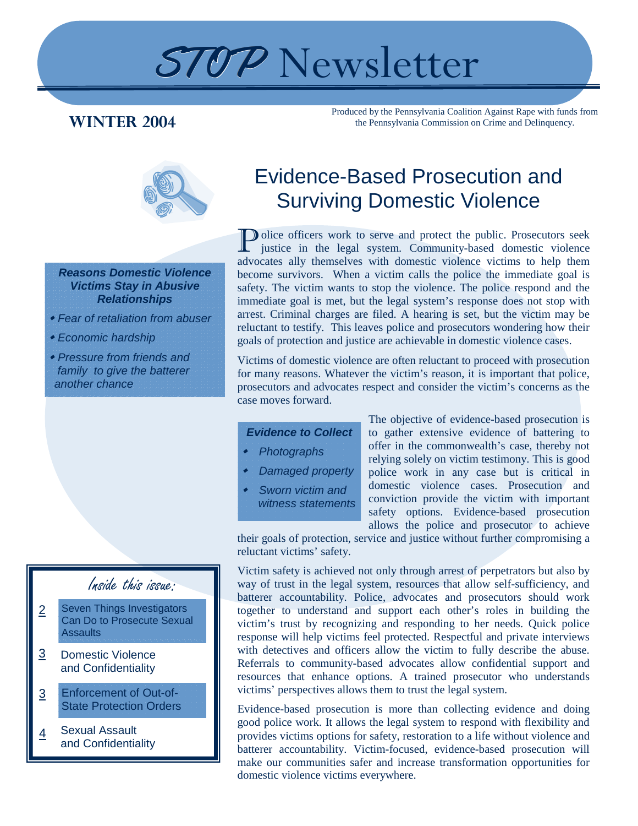# STOP Newsletter

### **WINTER 2004**

Produced by the Pennsylvania Coalition Against Rape with funds from the Pennsylvania Commission on Crime and Delinquency.



*Reasons Domestic Violence Victims Stay in Abusive Relationships* 

- *Fear of retaliation from abuser*
- *Economic hardship*
- *Pressure from friends and family to give the batterer another chance*

### Inside this issue:

- Seven Things Investigators Can Do to Prosecute Sexual **Assaults** 2
- Domestic Violence and Confidentiality 3
- Enforcement of Out-of-State Protection Orders 3
- Sexual Assault and Confidentiality 4

## Evidence-Based Prosecution and Surviving Domestic Violence

Dolice officers work to serve and protect the public. Prosecutors seek justice in the legal system. Community-based domestic violence advocates ally themselves with domestic violence victims to help them become survivors. When a victim calls the police the immediate goal is safety. The victim wants to stop the violence. The police respond and the immediate goal is met, but the legal system's response does not stop with arrest. Criminal charges are filed. A hearing is set, but the victim may be reluctant to testify. This leaves police and prosecutors wondering how their goals of protection and justice are achievable in domestic violence cases.

Victims of domestic violence are often reluctant to proceed with prosecution for many reasons. Whatever the victim's reason, it is important that police, prosecutors and advocates respect and consider the victim's concerns as the case moves forward.

#### *Evidence to Collect*

- *Photographs*
- *Damaged property*
- *Sworn victim and witness statements*

The objective of evidence-based prosecution is to gather extensive evidence of battering to offer in the commonwealth's case, thereby not relying solely on victim testimony. This is good police work in any case but is critical in domestic violence cases. Prosecution and conviction provide the victim with important safety options. Evidence-based prosecution allows the police and prosecutor to achieve

their goals of protection, service and justice without further compromising a reluctant victims' safety.

Victim safety is achieved not only through arrest of perpetrators but also by way of trust in the legal system, resources that allow self-sufficiency, and batterer accountability. Police, advocates and prosecutors should work together to understand and support each other's roles in building the victim's trust by recognizing and responding to her needs. Quick police response will help victims feel protected. Respectful and private interviews with detectives and officers allow the victim to fully describe the abuse. Referrals to community-based advocates allow confidential support and resources that enhance options. A trained prosecutor who understands victims' perspectives allows them to trust the legal system.

Evidence-based prosecution is more than collecting evidence and doing good police work. It allows the legal system to respond with flexibility and provides victims options for safety, restoration to a life without violence and batterer accountability. Victim-focused, evidence-based prosecution will make our communities safer and increase transformation opportunities for domestic violence victims everywhere.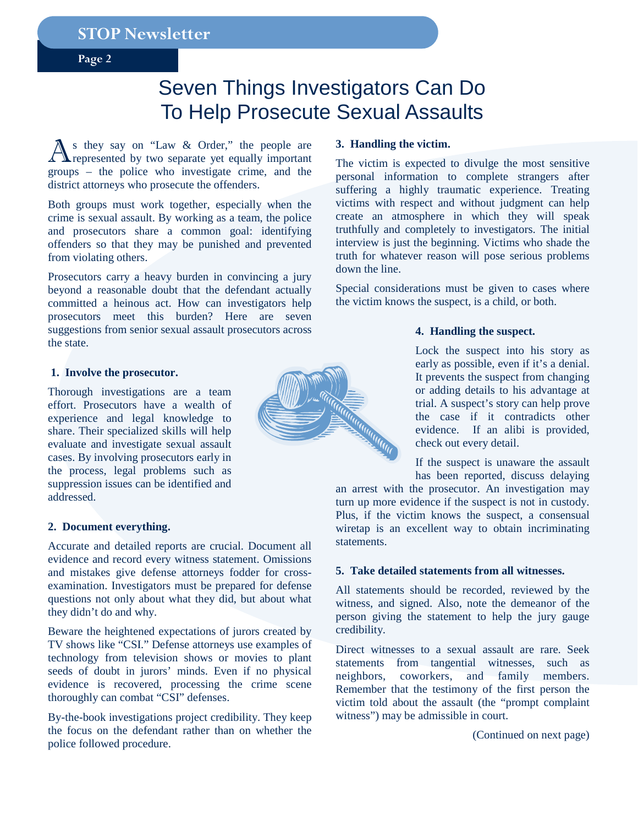**Page 2** 

### Seven Things Investigators Can Do To Help Prosecute Sexual Assaults

As they say on "Law & Order," the people are represented by two separate yet equally important groups – the police who investigate crime, and the district attorneys who prosecute the offenders.

Both groups must work together, especially when the crime is sexual assault. By working as a team, the police and prosecutors share a common goal: identifying offenders so that they may be punished and prevented from violating others.

Prosecutors carry a heavy burden in convincing a jury beyond a reasonable doubt that the defendant actually committed a heinous act. How can investigators help prosecutors meet this burden? Here are seven suggestions from senior sexual assault prosecutors across the state.

#### **1. Involve the prosecutor.**

Thorough investigations are a team effort. Prosecutors have a wealth of experience and legal knowledge to share. Their specialized skills will help evaluate and investigate sexual assault cases. By involving prosecutors early in the process, legal problems such as suppression issues can be identified and addressed.

#### **2. Document everything.**

Accurate and detailed reports are crucial. Document all evidence and record every witness statement. Omissions and mistakes give defense attorneys fodder for crossexamination. Investigators must be prepared for defense questions not only about what they did, but about what they didn't do and why.

Beware the heightened expectations of jurors created by TV shows like "CSI." Defense attorneys use examples of technology from television shows or movies to plant seeds of doubt in jurors' minds. Even if no physical evidence is recovered, processing the crime scene thoroughly can combat "CSI" defenses.

By-the-book investigations project credibility. They keep the focus on the defendant rather than on whether the police followed procedure.

#### **3. Handling the victim.**

The victim is expected to divulge the most sensitive personal information to complete strangers after suffering a highly traumatic experience. Treating victims with respect and without judgment can help create an atmosphere in which they will speak truthfully and completely to investigators. The initial interview is just the beginning. Victims who shade the truth for whatever reason will pose serious problems down the line.

Special considerations must be given to cases where the victim knows the suspect, is a child, or both.

#### **4. Handling the suspect.**

Lock the suspect into his story as early as possible, even if it's a denial. It prevents the suspect from changing or adding details to his advantage at trial. A suspect's story can help prove the case if it contradicts other evidence. If an alibi is provided, check out every detail.

If the suspect is unaware the assault has been reported, discuss delaying

an arrest with the prosecutor. An investigation may turn up more evidence if the suspect is not in custody. Plus, if the victim knows the suspect, a consensual wiretap is an excellent way to obtain incriminating statements.

#### **5. Take detailed statements from all witnesses.**

All statements should be recorded, reviewed by the witness, and signed. Also, note the demeanor of the person giving the statement to help the jury gauge credibility.

Direct witnesses to a sexual assault are rare. Seek statements from tangential witnesses, such as neighbors, coworkers, and family members. Remember that the testimony of the first person the victim told about the assault (the "prompt complaint witness") may be admissible in court.

(Continued on next page)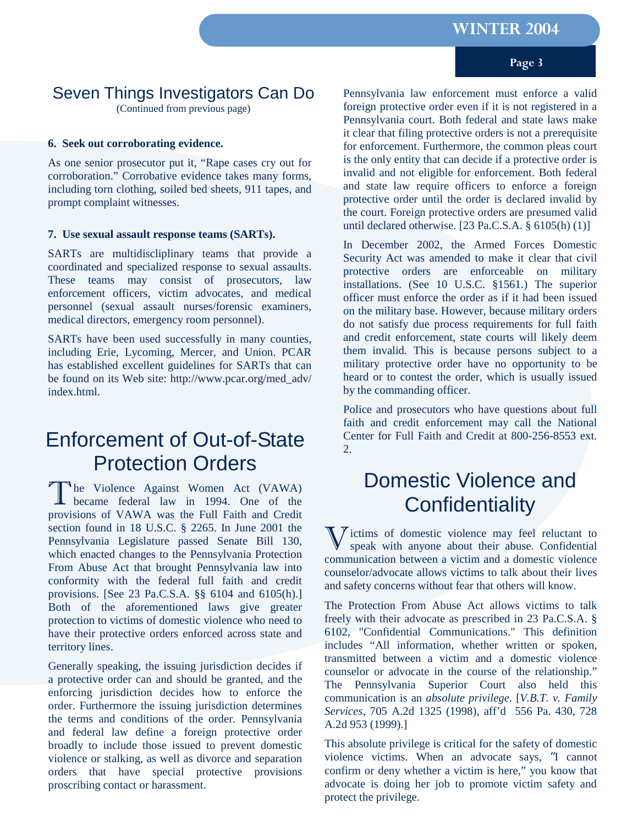#### **Page 3**

### Seven Things Investigators Can Do

(Continued from previous page)

#### **6. Seek out corroborating evidence.**

As one senior prosecutor put it, "Rape cases cry out for corroboration." Corrobative evidence takes many forms, including torn clothing, soiled bed sheets, 911 tapes, and prompt complaint witnesses.

#### **7. Use sexual assault response teams (SARTs).**

SARTs are multidiscliplinary teams that provide a coordinated and specialized response to sexual assaults. These teams may consist of prosecutors, law enforcement officers, victim advocates, and medical personnel (sexual assault nurses/forensic examiners, medical directors, emergency room personnel).

SARTs have been used successfully in many counties, including Erie, Lycoming, Mercer, and Union. PCAR has established excellent guidelines for SARTs that can be found on its Web site: http://www.pcar.org/med\_adv/ index.html.

### Enforcement of Out-of-State Protection Orders

The Violence Against Women Act (VAWA)<br>became federal law in 1994. One of the provisions of VAWA was the Full Faith and Credit section found in 18 U.S.C. § 2265. In June 2001 the Pennsylvania Legislature passed Senate Bill 130, which enacted changes to the Pennsylvania Protection From Abuse Act that brought Pennsylvania law into conformity with the federal full faith and credit provisions. [See 23 Pa.C.S.A. §§ 6104 and 6105(h).] Both of the aforementioned laws give greater protection to victims of domestic violence who need to have their protective orders enforced across state and territory lines.

Generally speaking, the issuing jurisdiction decides if a protective order can and should be granted, and the enforcing jurisdiction decides how to enforce the order. Furthermore the issuing jurisdiction determines the terms and conditions of the order. Pennsylvania and federal law define a foreign protective order broadly to include those issued to prevent domestic violence or stalking, as well as divorce and separation orders that have special protective provisions proscribing contact or harassment.

Pennsylvania law enforcement must enforce a valid foreign protective order even if it is not registered in a Pennsylvania court. Both federal and state laws make it clear that filing protective orders is not a prerequisite for enforcement. Furthermore, the common pleas court is the only entity that can decide if a protective order is invalid and not eligible for enforcement. Both federal and state law require officers to enforce a foreign protective order until the order is declared invalid by the court. Foreign protective orders are presumed valid until declared otherwise.  $[23 \text{ Pa.C.S.A. } § 6105(h)(1)]$ 

In December 2002, the Armed Forces Domestic Security Act was amended to make it clear that civil protective orders are enforceable on military installations. (See 10 U.S.C. §1561.) The superior officer must enforce the order as if it had been issued on the military base. However, because military orders do not satisfy due process requirements for full faith and credit enforcement, state courts will likely deem them invalid. This is because persons subject to a military protective order have no opportunity to be heard or to contest the order, which is usually issued by the commanding officer.

Police and prosecutors who have questions about full faith and credit enforcement may call the National Center for Full Faith and Credit at 800-256-8553 ext.  $2<sup>1</sup>$ 

### Domestic Violence and **Confidentiality**

 $\sum$  ictims of domestic violence may feel reluctant to speak with anyone about their abuse. Confidential communication between a victim and a domestic violence counselor/advocate allows victims to talk about their lives and safety concerns without fear that others will know.

The Protection From Abuse Act allows victims to talk freely with their advocate as prescribed in 23 Pa.C.S.A. § 6102, "Confidential Communications." This definition includes "All information, whether written or spoken, transmitted between a victim and a domestic violence counselor or advocate in the course of the relationship." The Pennsylvania Superior Court also held this communication is an *absolute privilege*. [*V.B.T. v. Family Services*, 705 A.2d 1325 (1998), aff'd 556 Pa. 430, 728 A.2d 953 (1999).]

This absolute privilege is critical for the safety of domestic violence victims. When an advocate says, "I cannot confirm or deny whether a victim is here," you know that advocate is doing her job to promote victim safety and protect the privilege.